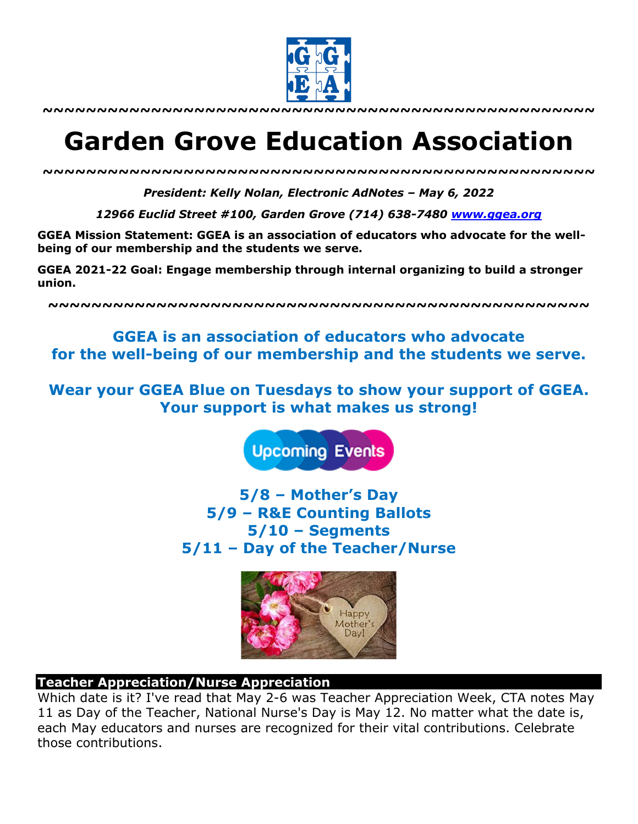

**~~~~~~~~~~~~~~~~~~~~~~~~~~~~~~~~~~~~~~~~~~~~~~~~~~~**

# **Garden Grove Education Association**

*~~~~~~~~~~~~~~~~~~~~~~~~~~~~~~~~~~~~~~~~~~~~~~~~~~~*

*President: Kelly Nolan, Electronic AdNotes – May 6, 2022*

*12966 Euclid Street #100, Garden Grove (714) 638-7480 www.ggea.org*

**GGEA Mission Statement: GGEA is an association of educators who advocate for the wellbeing of our membership and the students we serve.**

**GGEA 2021-22 Goal: Engage membership through internal organizing to build a stronger union.**

**~~~~~~~~~~~~~~~~~~~~~~~~~~~~~~~~~~~~~~~~~~~~~~~~~~**

**GGEA is an association of educators who advocate for the well-being of our membership and the students we serve.**

**Wear your GGEA Blue on Tuesdays to show your support of GGEA. Your support is what makes us strong!**

**Upcoming Events** 

**5/8 – Mother's Day 5/9 – R&E Counting Ballots 5/10 – Segments 5/11 – Day of the Teacher/Nurse**



#### **Teacher Appreciation/Nurse Appreciation**

Which date is it? I've read that May 2-6 was Teacher Appreciation Week, CTA notes May 11 as Day of the Teacher, National Nurse's Day is May 12. No matter what the date is, each May educators and nurses are recognized for their vital contributions. Celebrate those contributions.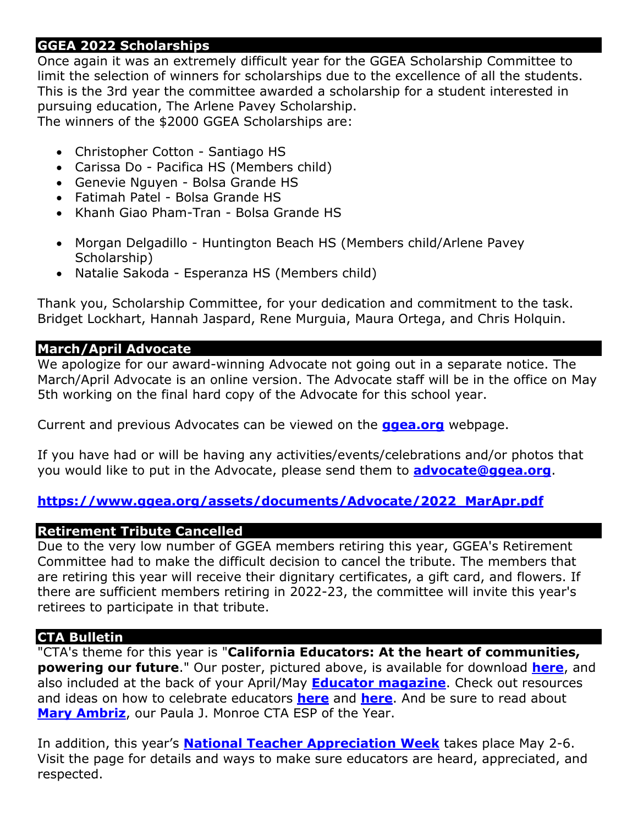# **GGEA 2022 Scholarships**

Once again it was an extremely difficult year for the GGEA Scholarship Committee to limit the selection of winners for scholarships due to the excellence of all the students. This is the 3rd year the committee awarded a scholarship for a student interested in pursuing education, The Arlene Pavey Scholarship. The winners of the \$2000 GGEA Scholarships are:

- Christopher Cotton Santiago HS
- Carissa Do Pacifica HS (Members child)
- Genevie Nguyen Bolsa Grande HS
- Fatimah Patel Bolsa Grande HS
- Khanh Giao Pham-Tran Bolsa Grande HS
- Morgan Delgadillo Huntington Beach HS (Members child/Arlene Pavey Scholarship)
- Natalie Sakoda Esperanza HS (Members child)

Thank you, Scholarship Committee, for your dedication and commitment to the task. Bridget Lockhart, Hannah Jaspard, Rene Murguia, Maura Ortega, and Chris Holquin.

### **March/April Advocate**

We apologize for our award-winning Advocate not going out in a separate notice. The March/April Advocate is an online version. The Advocate staff will be in the office on May 5th working on the final hard copy of the Advocate for this school year.

Current and previous Advocates can be viewed on the **ggea.org** webpage.

If you have had or will be having any activities/events/celebrations and/or photos that you would like to put in the Advocate, please send them to **advocate@ggea.org**.

## **https://www.ggea.org/assets/documents/Advocate/2022\_MarApr.pdf**

#### **Retirement Tribute Cancelled**

Due to the very low number of GGEA members retiring this year, GGEA's Retirement Committee had to make the difficult decision to cancel the tribute. The members that are retiring this year will receive their dignitary certificates, a gift card, and flowers. If there are sufficient members retiring in 2022-23, the committee will invite this year's retirees to participate in that tribute.

## **CTA Bulletin**

"CTA's theme for this year is "**California Educators: At the heart of communities, powering our future**." Our poster, pictured above, is available for download **here**, and also included at the back of your April/May **Educator magazine**. Check out resources and ideas on how to celebrate educators **here** and **here**. And be sure to read about **Mary Ambriz**, our Paula J. Monroe CTA ESP of the Year.

In addition, this year's **National Teacher Appreciation Week** takes place May 2-6. Visit the page for details and ways to make sure educators are heard, appreciated, and respected.